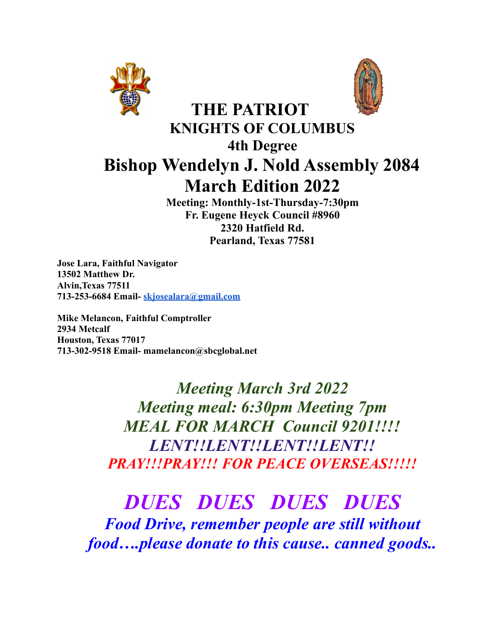



## **KNIGHTS OF COLUMBUS 4th Degree Bishop Wendelyn J. Nold Assembly 2084 March Edition 2022**

**THE PATRIOT**

**Meeting: Monthly-1st-Thursday-7:30pm Fr. Eugene Heyck Council #8960 2320 Hatfield Rd. Pearland, Texas 77581**

**Jose Lara, Faithful Navigator 13502 Matthew Dr. Alvin,Texas 77511 713-253-6684 Email- [skjosealara@gmail.com](mailto:skjosealara@gmail.com)**

**Mike Melancon, Faithful Comptroller 2934 Metcalf Houston, Texas 77017 713-302-9518 Email- mamelancon@sbcglobal.net**

> *Meeting March 3rd 2022 Meeting meal: 6:30pm Meeting 7pm MEAL FOR MARCH Council 9201!!!! LENT!!LENT!!LENT!!LENT!! PRAY!!!PRAY!!! FOR PEACE OVERSEAS!!!!!*

## *DUES DUES DUES DUES*

*Food Drive, remember people are still without food….please donate to this cause.. canned goods..*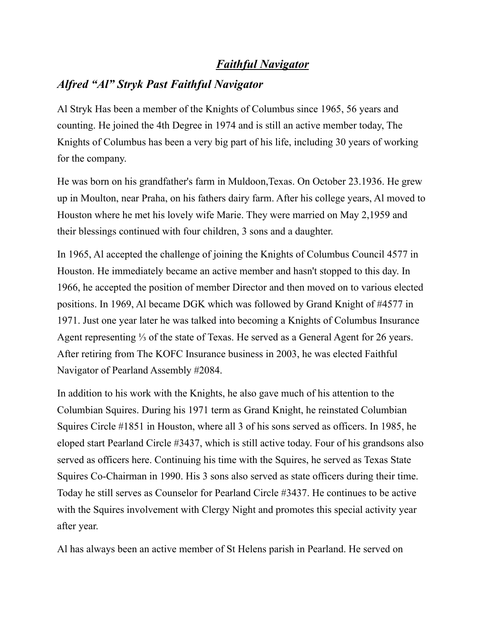#### *Faithful Navigator*

#### *Alfred "Al" Stryk Past Faithful Navigator*

Al Stryk Has been a member of the Knights of Columbus since 1965, 56 years and counting. He joined the 4th Degree in 1974 and is still an active member today, The Knights of Columbus has been a very big part of his life, including 30 years of working for the company.

He was born on his grandfather's farm in Muldoon,Texas. On October 23.1936. He grew up in Moulton, near Praha, on his fathers dairy farm. After his college years, Al moved to Houston where he met his lovely wife Marie. They were married on May 2,1959 and their blessings continued with four children, 3 sons and a daughter.

In 1965, Al accepted the challenge of joining the Knights of Columbus Council 4577 in Houston. He immediately became an active member and hasn't stopped to this day. In 1966, he accepted the position of member Director and then moved on to various elected positions. In 1969, Al became DGK which was followed by Grand Knight of #4577 in 1971. Just one year later he was talked into becoming a Knights of Columbus Insurance Agent representing ⅓ of the state of Texas. He served as a General Agent for 26 years. After retiring from The KOFC Insurance business in 2003, he was elected Faithful Navigator of Pearland Assembly #2084.

In addition to his work with the Knights, he also gave much of his attention to the Columbian Squires. During his 1971 term as Grand Knight, he reinstated Columbian Squires Circle #1851 in Houston, where all 3 of his sons served as officers. In 1985, he eloped start Pearland Circle #3437, which is still active today. Four of his grandsons also served as officers here. Continuing his time with the Squires, he served as Texas State Squires Co-Chairman in 1990. His 3 sons also served as state officers during their time. Today he still serves as Counselor for Pearland Circle #3437. He continues to be active with the Squires involvement with Clergy Night and promotes this special activity year after year.

Al has always been an active member of St Helens parish in Pearland. He served on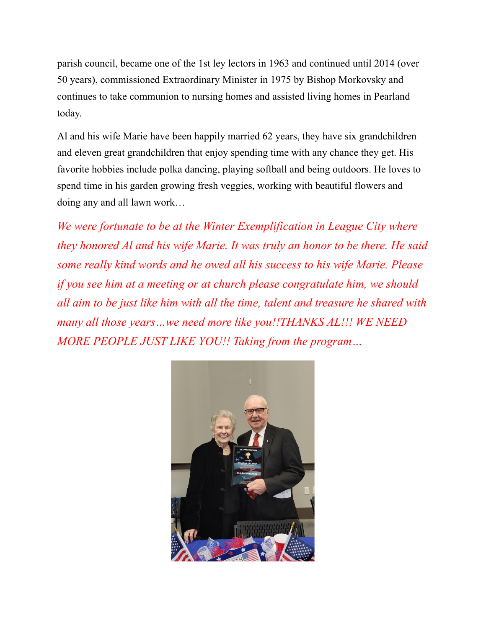parish council, became one of the 1st ley lectors in 1963 and continued until 2014 (over 50 years), commissioned Extraordinary Minister in 1975 by Bishop Morkovsky and continues to take communion to nursing homes and assisted living homes in Pearland today.

Al and his wife Marie have been happily married 62 years, they have six grandchildren and eleven great grandchildren that enjoy spending time with any chance they get. His favorite hobbies include polka dancing, playing softball and being outdoors. He loves to spend time in his garden growing fresh veggies, working with beautiful flowers and doing any and all lawn work…

*We were fortunate to be at the Winter Exemplification in League City where they honored Al and his wife Marie. It was truly an honor to be there. He said some really kind words and he owed all his success to his wife Marie. Please if you see him at a meeting or at church please congratulate him, we should all aim to be just like him with all the time, talent and treasure he shared with many all those years…we need more like you!!THANKS AL!!! WE NEED MORE PEOPLE JUST LIKE YOU!! Taking from the program…*

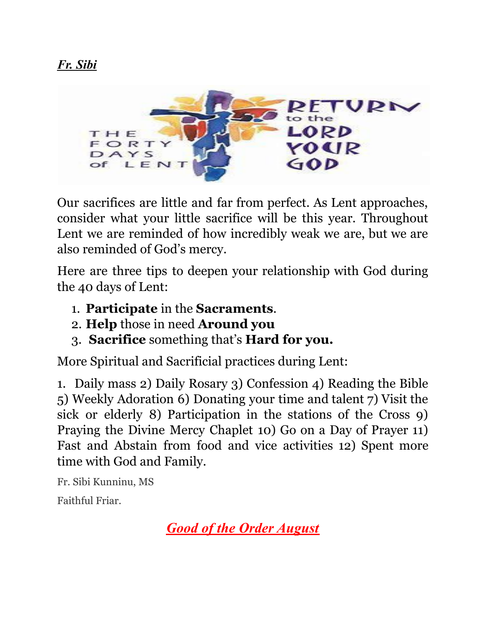

Our sacrifices are little and far from perfect. As Lent approaches, consider what your little sacrifice will be this year. Throughout Lent we are reminded of how incredibly weak we are, but we are also reminded of God's mercy.

Here are three tips to deepen your relationship with God during the 40 days of Lent:

- 1. **Participate** in the **Sacraments**.
- 2. **Help** those in need **Around you**
- 3. **Sacrifice** something that's **Hard for you.**

More Spiritual and Sacrificial practices during Lent:

1. Daily mass 2) Daily Rosary 3) Confession 4) Reading the Bible 5) Weekly Adoration 6) Donating your time and talent 7) Visit the sick or elderly 8) Participation in the stations of the Cross 9) Praying the Divine Mercy Chaplet 10) Go on a Day of Prayer 11) Fast and Abstain from food and vice activities 12) Spent more time with God and Family.

Fr. Sibi Kunninu, MS

Faithful Friar.

*Good of the Order August*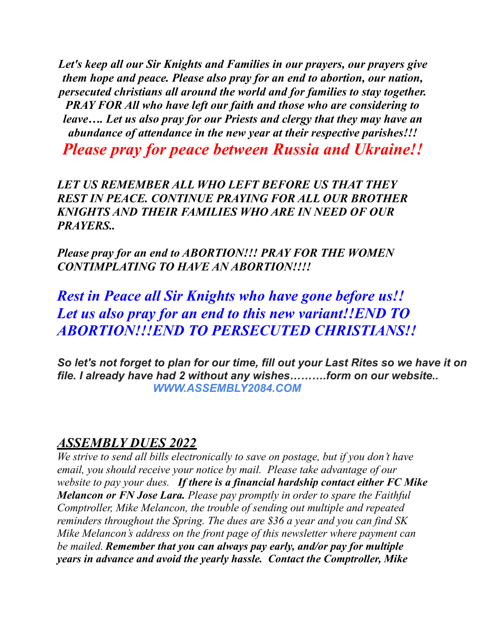*Let's keep all our Sir Knights and Families in our prayers, our prayers give them hope and peace. Please also pray for an end to abortion, our nation, persecuted christians all around the world and for families to stay together. PRAY FOR All who have left our faith and those who are considering to leave…. Let us also pray for our Priests and clergy that they may have an abundance of attendance in the new year at their respective parishes!!!*

*Please pray for peace between Russia and Ukraine!!*

*LET US REMEMBER ALL WHO LEFT BEFORE US THAT THEY REST IN PEACE. CONTINUE PRAYING FOR ALL OUR BROTHER KNIGHTS AND THEIR FAMILIES WHO ARE IN NEED OF OUR PRAYERS..*

*Please pray for an end to ABORTION!!! PRAY FOR THE WOMEN CONTIMPLATING TO HAVE AN ABORTION!!!!*

*Rest in Peace all Sir Knights who have gone before us!! Let us also pray for an end to this new variant!!END TO ABORTION!!!END TO PERSECUTED CHRISTIANS!!*

*So let's not forget to plan for our time, fill out your Last Rites so we have it on file. I already have had 2 without any wishes……….form on our website.. WWW.ASSEMBLY2084.COM*

#### *ASSEMBLY DUES 2022*

*We strive to send all bills electronically to save on postage, but if you don't have email, you should receive your notice by mail. Please take advantage of our website to pay your dues. If there is a financial hardship contact either FC Mike Melancon or FN Jose Lara. Please pay promptly in order to spare the Faithful Comptroller, Mike Melancon, the trouble of sending out multiple and repeated reminders throughout the Spring. The dues are \$36 a year and you can find SK Mike Melancon's address on the front page of this newsletter where payment can be mailed. Remember that you can always pay early, and/or pay for multiple years in advance and avoid the yearly hassle. Contact the Comptroller, Mike*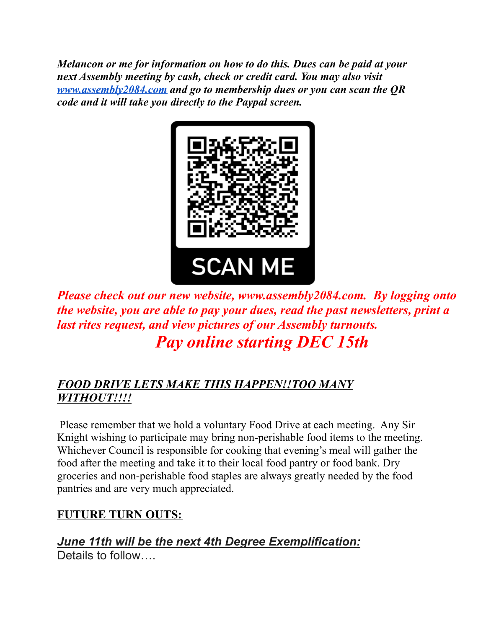*Melancon or me for information on how to do this. Dues can be paid at your next Assembly meeting by cash, check or credit card. You may also visit [www.assembly2084.com](http://www.assembly2084.com) and go to membership dues or you can scan the QR code and it will take you directly to the Paypal screen.*



*Please check out our new website, www.assembly2084.com. By logging onto the website, you are able to pay your dues, read the past newsletters, print a last rites request, and view pictures of our Assembly turnouts. Pay online starting DEC 15th*

#### *FOOD DRIVE LETS MAKE THIS HAPPEN!!TOO MANY WITHOUT!!!!*

Please remember that we hold a voluntary Food Drive at each meeting. Any Sir Knight wishing to participate may bring non-perishable food items to the meeting. Whichever Council is responsible for cooking that evening's meal will gather the food after the meeting and take it to their local food pantry or food bank. Dry groceries and non-perishable food staples are always greatly needed by the food pantries and are very much appreciated.

#### **FUTURE TURN OUTS:**

*June 11th will be the next 4th Degree Exemplification:* Details to follow….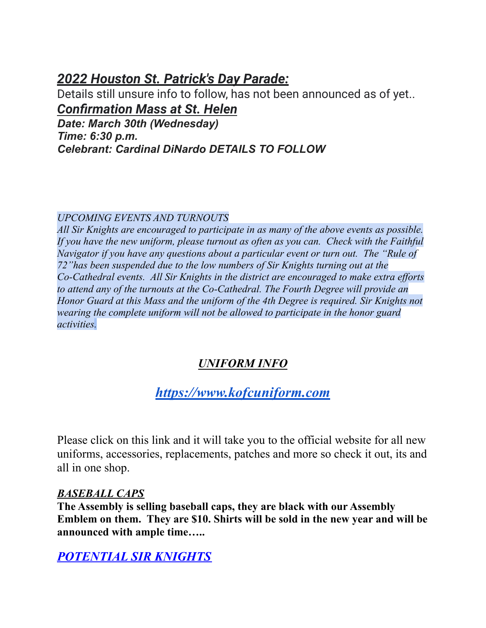#### *2022 Houston St. Patrick's Day Parade:*

Details still unsure info to follow, has not been announced as of yet.. *Confirmation Mass at St. Helen*

*Date: March 30th (Wednesday) Time: 6:30 p.m. Celebrant: Cardinal DiNardo DETAILS TO FOLLOW*

#### *UPCOMING EVENTS AND TURNOUTS*

*All Sir Knights are encouraged to participate in as many of the above events as possible. If you have the new uniform, please turnout as often as you can. Check with the Faithful Navigator if you have any questions about a particular event or turn out. The "Rule of 72"has been suspended due to the low numbers of Sir Knights turning out at the Co-Cathedral events. All Sir Knights in the district are encouraged to make extra ef orts to attend any of the turnouts at the Co-Cathedral. The Fourth Degree will provide an Honor Guard at this Mass and the uniform of the 4th Degree is required. Sir Knights not wearing the complete uniform will not be allowed to participate in the honor guard activities.*

#### *UNIFORM INFO*

## *[https://www.kofcuniform.com](https://www.kofcuniform.com/uniform-packages/package/knights-of-columbus-executive-fit-uniform-package-uniform-package/)*

Please click on this link and it will take you to the official website for all new uniforms, accessories, replacements, patches and more so check it out, its and all in one shop.

#### *BASEBALL CAPS*

**The Assembly is selling baseball caps, they are black with our Assembly Emblem on them. They are \$10. Shirts will be sold in the new year and will be announced with ample time…..**

#### *POTENTIAL SIR KNIGHTS*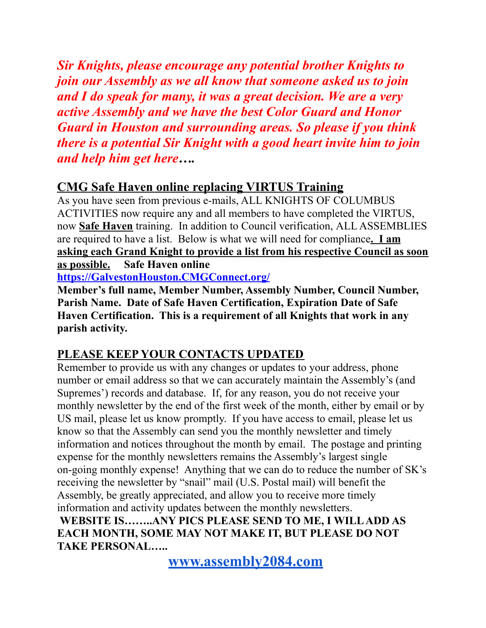*Sir Knights, please encourage any potential brother Knights to join our Assembly as we all know that someone asked us to join and I do speak for many, it was a great decision. We are a very active Assembly and we have the best Color Guard and Honor Guard in Houston and surrounding areas. So please if you think there is a potential Sir Knight with a good heart invite him to join and help him get here….*

#### **CMG Safe Haven online replacing VIRTUS Training**

As you have seen from previous e-mails, ALL KNIGHTS OF COLUMBUS ACTIVITIES now require any and all members to have completed the VIRTUS, now **Safe Haven** training. In addition to Council verification, ALL ASSEMBLIES are required to have a list. Below is what we will need for compliance**. I am asking each Grand Knight to provide a list from his respective Council as soon as possible. Safe Haven online**

**[https://GalvestonHouston.CMGConnect.org/](https://galvestonhouston.cmgconnect.org/)**

**Member's full name, Member Number, Assembly Number, Council Number, Parish Name. Date of Safe Haven Certification, Expiration Date of Safe Haven Certification. This is a requirement of all Knights that work in any parish activity.**

#### **PLEASE KEEP YOUR CONTACTS UPDATED**

Remember to provide us with any changes or updates to your address, phone number or email address so that we can accurately maintain the Assembly's (and Supremes') records and database. If, for any reason, you do not receive your monthly newsletter by the end of the first week of the month, either by email or by US mail, please let us know promptly. If you have access to email, please let us know so that the Assembly can send you the monthly newsletter and timely information and notices throughout the month by email. The postage and printing expense for the monthly newsletters remains the Assembly's largest single on-going monthly expense! Anything that we can do to reduce the number of SK's receiving the newsletter by "snail" mail (U.S. Postal mail) will benefit the Assembly, be greatly appreciated, and allow you to receive more timely information and activity updates between the monthly newsletters. **WEBSITE IS……..ANY PICS PLEASE SEND TO ME, I WILLADD AS EACH MONTH, SOME MAY NOT MAKE IT, BUT PLEASE DO NOT TAKE PERSONAL…..**

**[www.assembly2084.com](http://www.assembly2084.com)**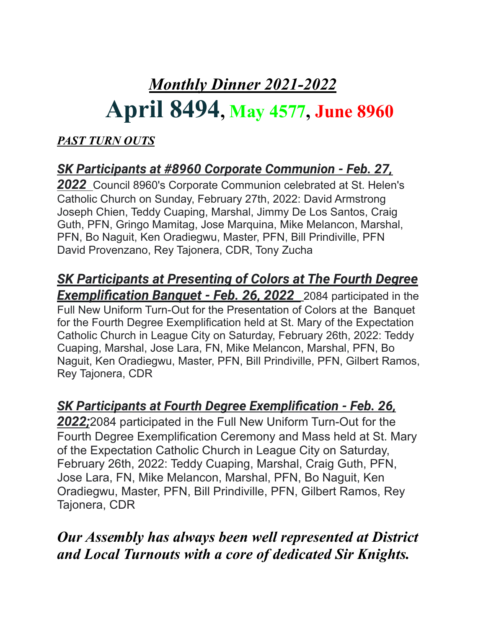# *Monthly Dinner 2021-2022* **April 8494, May 4577, June 8960**

### *PAST TURN OUTS*

## *SK Participants at #8960 Corporate Communion - Feb. 27,*

*2022* Council 8960's Corporate Communion celebrated at St. Helen's Catholic Church on Sunday, February 27th, 2022: David Armstrong Joseph Chien, Teddy Cuaping, Marshal, Jimmy De Los Santos, Craig Guth, PFN, Gringo Mamitag, Jose Marquina, Mike Melancon, Marshal, PFN, Bo Naguit, Ken Oradiegwu, Master, PFN, Bill Prindiville, PFN David Provenzano, Rey Tajonera, CDR, Tony Zucha

#### *SK Participants at Presenting of Colors at The Fourth Degree Exemplification Banquet - Feb. 26, 2022* 2084 participated in the Full New Uniform Turn-Out for the Presentation of Colors at the Banquet for the Fourth Degree Exemplification held at St. Mary of the Expectation Catholic Church in League City on Saturday, February 26th, 2022: Teddy Cuaping, Marshal, Jose Lara, FN, Mike Melancon, Marshal, PFN, Bo Naguit, Ken Oradiegwu, Master, PFN, Bill Prindiville, PFN, Gilbert Ramos,

Rey Tajonera, CDR

## *SK Participants at Fourth Degree Exemplification - Feb. 26,*

*2022;*2084 participated in the Full New Uniform Turn-Out for the Fourth Degree Exemplification Ceremony and Mass held at St. Mary of the Expectation Catholic Church in League City on Saturday, February 26th, 2022: Teddy Cuaping, Marshal, Craig Guth, PFN, Jose Lara, FN, Mike Melancon, Marshal, PFN, Bo Naguit, Ken Oradiegwu, Master, PFN, Bill Prindiville, PFN, Gilbert Ramos, Rey Tajonera, CDR

*Our Assembly has always been well represented at District and Local Turnouts with a core of dedicated Sir Knights.*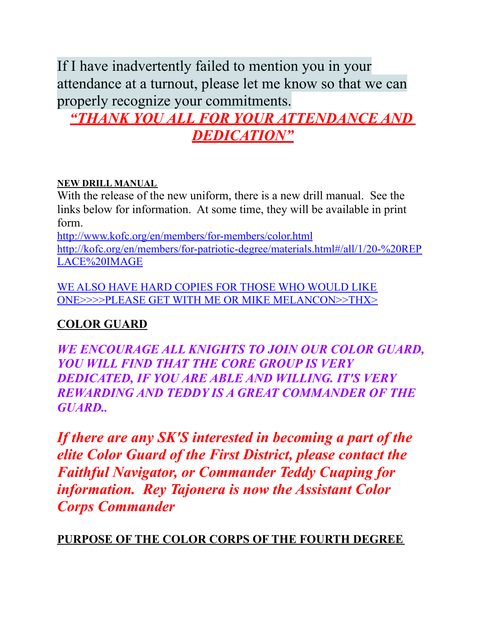If I have inadvertently failed to mention you in your attendance at a turnout, please let me know so that we can properly recognize your commitments.

## *"THANK YOU ALL FOR YOUR ATTENDANCE AND DEDICATION"*

#### **NEW DRILL MANUAL**

With the release of the new uniform, there is a new drill manual. See the links below for information. At some time, they will be available in print form.

<http://www.kofc.org/en/members/for-members/color.html> [http://kofc.org/en/members/for-patriotic-degree/materials.html#/all/1/20-%20REP](http://kofc.org/en/members/for-patriotic-degree/materials.html#/all/1/20-%20REPLACE%20IMAGE) [LACE%20IMAGE](http://kofc.org/en/members/for-patriotic-degree/materials.html#/all/1/20-%20REPLACE%20IMAGE)

WE ALSO HAVE HARD COPIES FOR THOSE WHO WOULD LIKE ONE>>>>PLEASE GET WITH ME OR MIKE MELANCON>>THX>

#### **COLOR GUARD**

*WE ENCOURAGE ALL KNIGHTS TO JOIN OUR COLOR GUARD, YOU WILL FIND THAT THE CORE GROUP IS VERY DEDICATED, IF YOU ARE ABLE AND WILLING. IT'S VERY REWARDING AND TEDDY IS A GREAT COMMANDER OF THE GUARD..*

*If there are any SK'S interested in becoming a part of the elite Color Guard of the First District, please contact the Faithful Navigator, or Commander Teddy Cuaping for information. Rey Tajonera is now the Assistant Color Corps Commander*

**PURPOSE OF THE COLOR CORPS OF THE FOURTH DEGREE**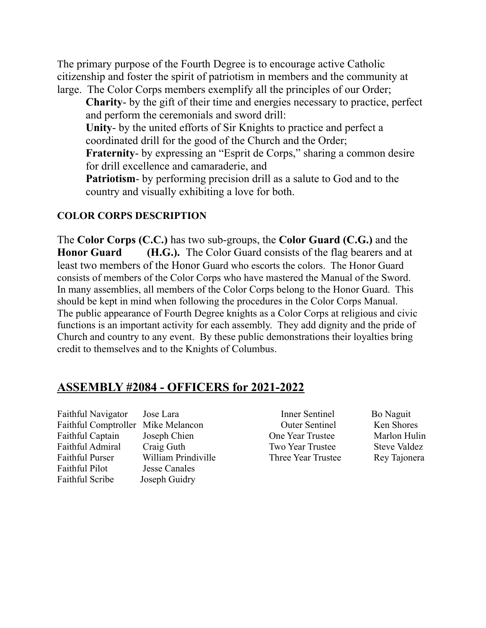The primary purpose of the Fourth Degree is to encourage active Catholic citizenship and foster the spirit of patriotism in members and the community at large. The Color Corps members exemplify all the principles of our Order;

**Charity**- by the gift of their time and energies necessary to practice, perfect and perform the ceremonials and sword drill:

**Unity**- by the united efforts of Sir Knights to practice and perfect a coordinated drill for the good of the Church and the Order;

**Fraternity**- by expressing an "Esprit de Corps," sharing a common desire for drill excellence and camaraderie, and

**Patriotism**- by performing precision drill as a salute to God and to the country and visually exhibiting a love for both.

#### **COLOR CORPS DESCRIPTION**

The **Color Corps (C.C.)** has two sub-groups, the **Color Guard (C.G.)** and the **Honor Guard (H.G.).** The Color Guard consists of the flag bearers and at least two members of the Honor Guard who escorts the colors. The Honor Guard consists of members of the Color Corps who have mastered the Manual of the Sword. In many assemblies, all members of the Color Corps belong to the Honor Guard. This should be kept in mind when following the procedures in the Color Corps Manual. The public appearance of Fourth Degree knights as a Color Corps at religious and civic functions is an important activity for each assembly. They add dignity and the pride of Church and country to any event. By these public demonstrations their loyalties bring credit to themselves and to the Knights of Columbus.

#### **ASSEMBLY #2084 - OFFICERS for 2021-2022**

Faithful Pilot Jesse Canales Faithful Scribe Joseph Guidry

Faithful Navigator Jose Lara **Inner Sentinel** Bo Naguit Faithful Comptroller Mike Melancon Outer Sentinel Ken Shores Faithful Captain Joseph Chien One Year Trustee Marlon Hulin Faithful Admiral Craig Guth Two Year Trustee Steve Valdez Faithful Purser William Prindiville Three Year Trustee Rey Tajonera